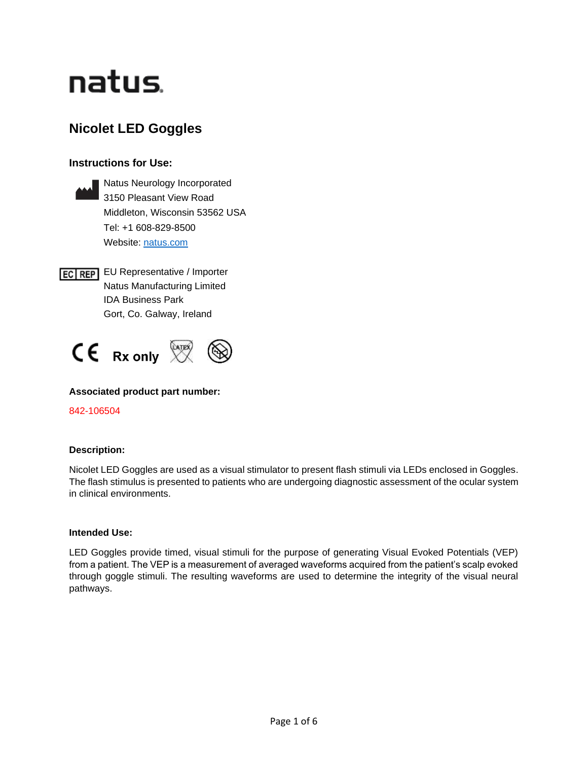# natus.

# **Nicolet LED Goggles**

## **Instructions for Use:**



**EC REP** EU Representative / Importer Natus Manufacturing Limited IDA Business Park Gort, Co. Galway, Ireland



## **Associated product part number:**

842-106504

### **Description:**

Nicolet LED Goggles are used as a visual stimulator to present flash stimuli via LEDs enclosed in Goggles. The flash stimulus is presented to patients who are undergoing diagnostic assessment of the ocular system in clinical environments.

#### **Intended Use:**

LED Goggles provide timed, visual stimuli for the purpose of generating Visual Evoked Potentials (VEP) from a patient. The VEP is a measurement of averaged waveforms acquired from the patient's scalp evoked through goggle stimuli. The resulting waveforms are used to determine the integrity of the visual neural pathways.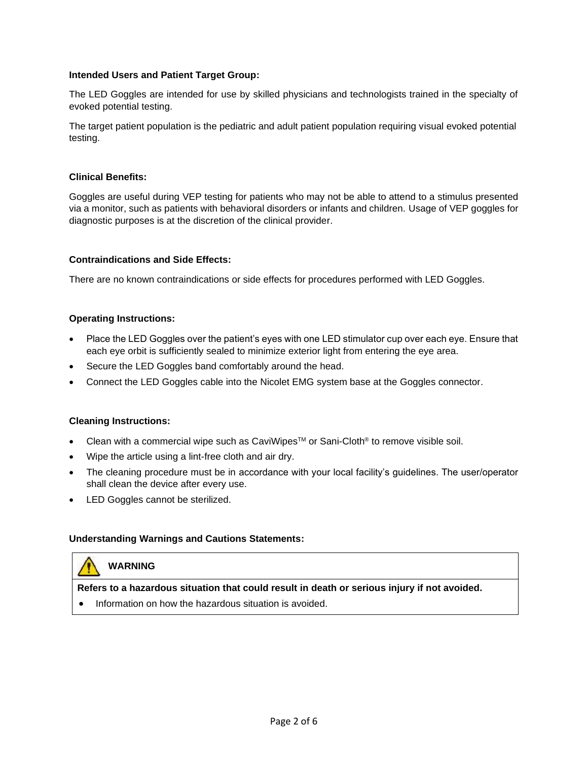#### **Intended Users and Patient Target Group:**

The LED Goggles are intended for use by skilled physicians and technologists trained in the specialty of evoked potential testing.

The target patient population is the pediatric and adult patient population requiring visual evoked potential testing.

#### **Clinical Benefits:**

Goggles are useful during VEP testing for patients who may not be able to attend to a stimulus presented via a monitor, such as patients with behavioral disorders or infants and children. Usage of VEP goggles for diagnostic purposes is at the discretion of the clinical provider.

#### **Contraindications and Side Effects:**

There are no known contraindications or side effects for procedures performed with LED Goggles.

#### **Operating Instructions:**

- Place the LED Goggles over the patient's eyes with one LED stimulator cup over each eye. Ensure that each eye orbit is sufficiently sealed to minimize exterior light from entering the eye area.
- Secure the LED Goggles band comfortably around the head.
- Connect the LED Goggles cable into the Nicolet EMG system base at the Goggles connector.

#### **Cleaning Instructions:**

- Clean with a commercial wipe such as CaviWipes<sup>TM</sup> or Sani-Cloth<sup>®</sup> to remove visible soil.
- Wipe the article using a lint-free cloth and air dry.
- The cleaning procedure must be in accordance with your local facility's guidelines. The user/operator shall clean the device after every use.
- LED Goggles cannot be sterilized.

#### **Understanding Warnings and Cautions Statements:**

# **WARNING**

**Refers to a hazardous situation that could result in death or serious injury if not avoided.** 

• Information on how the hazardous situation is avoided.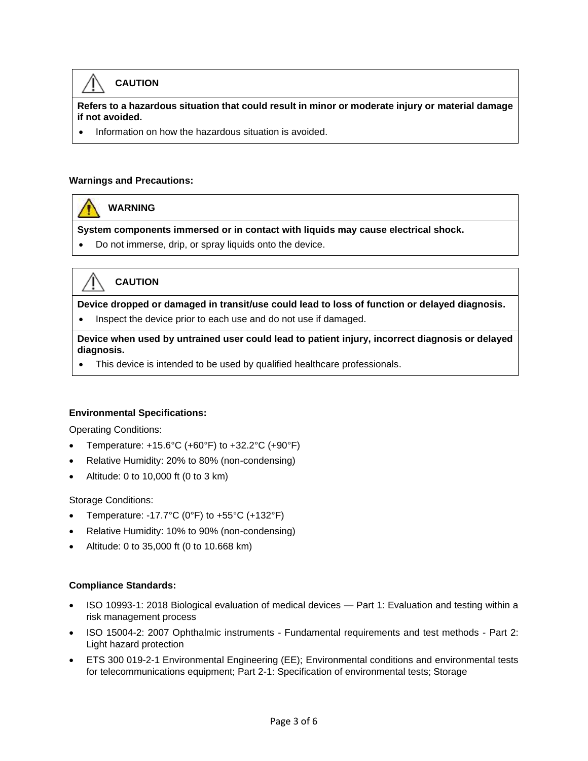# **CAUTION**

**Refers to a hazardous situation that could result in minor or moderate injury or material damage if not avoided.**

• Information on how the hazardous situation is avoided.

#### **Warnings and Precautions:**

**WARNING**

**System components immersed or in contact with liquids may cause electrical shock.**

• Do not immerse, drip, or spray liquids onto the device.



**CAUTION**

**Device dropped or damaged in transit/use could lead to loss of function or delayed diagnosis.**

• Inspect the device prior to each use and do not use if damaged.

**Device when used by untrained user could lead to patient injury, incorrect diagnosis or delayed diagnosis.**

• This device is intended to be used by qualified healthcare professionals.

#### **Environmental Specifications:**

Operating Conditions:

- Temperature: +15.6°C (+60°F) to +32.2°C (+90°F)
- Relative Humidity: 20% to 80% (non-condensing)
- Altitude: 0 to 10,000 ft (0 to 3 km)

Storage Conditions:

- Temperature: -17.7 $^{\circ}$ C (0 $^{\circ}$ F) to +55 $^{\circ}$ C (+132 $^{\circ}$ F)
- Relative Humidity: 10% to 90% (non-condensing)
- Altitude: 0 to 35,000 ft (0 to 10.668 km)

#### **Compliance Standards:**

- ISO 10993-1: 2018 Biological evaluation of medical devices Part 1: Evaluation and testing within a risk management process
- ISO 15004-2: 2007 Ophthalmic instruments Fundamental requirements and test methods Part 2: Light hazard protection
- ETS 300 019-2-1 Environmental Engineering (EE); Environmental conditions and environmental tests for telecommunications equipment; Part 2-1: Specification of environmental tests; Storage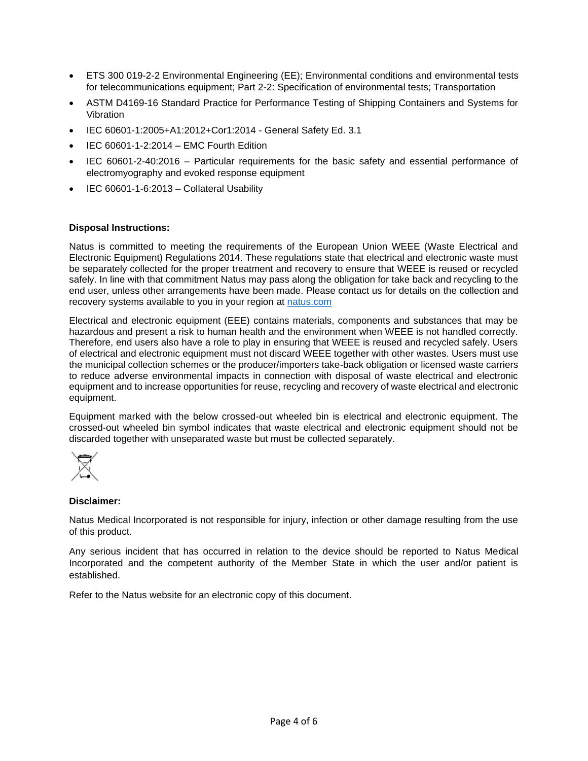- ETS 300 019-2-2 Environmental Engineering (EE); Environmental conditions and environmental tests for telecommunications equipment; Part 2-2: Specification of environmental tests; Transportation
- ASTM D4169-16 Standard Practice for Performance Testing of Shipping Containers and Systems for Vibration
- IEC 60601-1:2005+A1:2012+Cor1:2014 General Safety Ed. 3.1
- IEC 60601-1-2:2014 EMC Fourth Edition
- IEC 60601-2-40:2016 Particular requirements for the basic safety and essential performance of electromyography and evoked response equipment
- IEC 60601-1-6:2013 Collateral Usability

#### **Disposal Instructions:**

Natus is committed to meeting the requirements of the European Union WEEE (Waste Electrical and Electronic Equipment) Regulations 2014. These regulations state that electrical and electronic waste must be separately collected for the proper treatment and recovery to ensure that WEEE is reused or recycled safely. In line with that commitment Natus may pass along the obligation for take back and recycling to the end user, unless other arrangements have been made. Please contact us for details on the collection and recovery systems available to you in your region at [natus.com](https://natus.com/)

Electrical and electronic equipment (EEE) contains materials, components and substances that may be hazardous and present a risk to human health and the environment when WEEE is not handled correctly. Therefore, end users also have a role to play in ensuring that WEEE is reused and recycled safely. Users of electrical and electronic equipment must not discard WEEE together with other wastes. Users must use the municipal collection schemes or the producer/importers take-back obligation or licensed waste carriers to reduce adverse environmental impacts in connection with disposal of waste electrical and electronic equipment and to increase opportunities for reuse, recycling and recovery of waste electrical and electronic equipment.

Equipment marked with the below crossed-out wheeled bin is electrical and electronic equipment. The crossed-out wheeled bin symbol indicates that waste electrical and electronic equipment should not be discarded together with unseparated waste but must be collected separately.



#### **Disclaimer:**

Natus Medical Incorporated is not responsible for injury, infection or other damage resulting from the use of this product.

Any serious incident that has occurred in relation to the device should be reported to Natus Medical Incorporated and the competent authority of the Member State in which the user and/or patient is established.

Refer to the Natus website for an electronic copy of this document.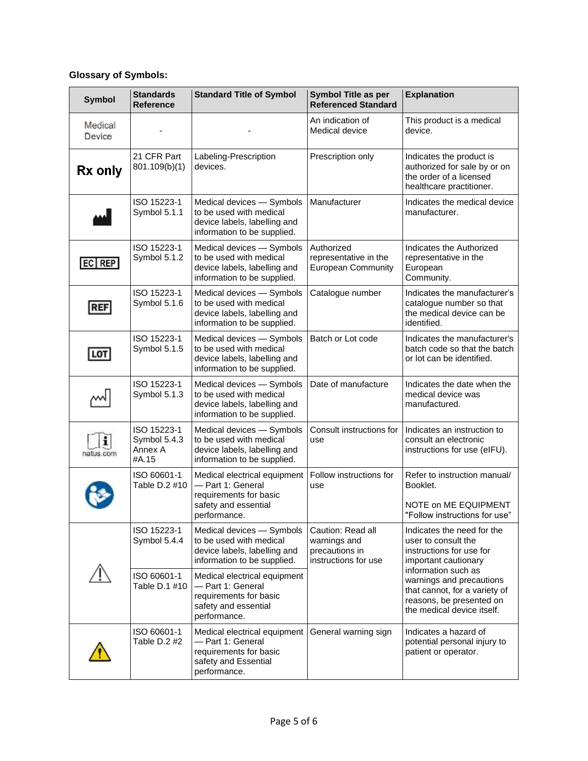# **Glossary of Symbols:**

| <b>Symbol</b>     | <b>Standards</b><br><b>Reference</b>            | <b>Standard Title of Symbol</b>                                                                                     | <b>Symbol Title as per</b><br><b>Referenced Standard</b>                    | <b>Explanation</b>                                                                                                                                                                                                                                  |
|-------------------|-------------------------------------------------|---------------------------------------------------------------------------------------------------------------------|-----------------------------------------------------------------------------|-----------------------------------------------------------------------------------------------------------------------------------------------------------------------------------------------------------------------------------------------------|
| Medical<br>Device |                                                 |                                                                                                                     | An indication of<br>Medical device                                          | This product is a medical<br>device.                                                                                                                                                                                                                |
| Rx only           | 21 CFR Part<br>801.109(b)(1)                    | Labeling-Prescription<br>devices.                                                                                   | Prescription only                                                           | Indicates the product is<br>authorized for sale by or on<br>the order of a licensed<br>healthcare practitioner.                                                                                                                                     |
|                   | ISO 15223-1<br>Symbol 5.1.1                     | Medical devices - Symbols<br>to be used with medical<br>device labels, labelling and<br>information to be supplied. | Manufacturer                                                                | Indicates the medical device<br>manufacturer.                                                                                                                                                                                                       |
| $ EC $ REP        | ISO 15223-1<br>Symbol 5.1.2                     | Medical devices - Symbols<br>to be used with medical<br>device labels, labelling and<br>information to be supplied. | Authorized<br>representative in the<br><b>European Community</b>            | Indicates the Authorized<br>representative in the<br>European<br>Community.                                                                                                                                                                         |
| <b>REF</b>        | ISO 15223-1<br>Symbol 5.1.6                     | Medical devices - Symbols<br>to be used with medical<br>device labels, labelling and<br>information to be supplied. | Catalogue number                                                            | Indicates the manufacturer's<br>catalogue number so that<br>the medical device can be<br>identified.                                                                                                                                                |
| LOT               | ISO 15223-1<br>Symbol 5.1.5                     | Medical devices - Symbols<br>to be used with medical<br>device labels, labelling and<br>information to be supplied. | Batch or Lot code                                                           | Indicates the manufacturer's<br>batch code so that the batch<br>or lot can be identified.                                                                                                                                                           |
|                   | ISO 15223-1<br>Symbol 5.1.3                     | Medical devices - Symbols<br>to be used with medical<br>device labels, labelling and<br>information to be supplied. | Date of manufacture                                                         | Indicates the date when the<br>medical device was<br>manufactured.                                                                                                                                                                                  |
| natus.com         | ISO 15223-1<br>Symbol 5.4.3<br>Annex A<br>#A.15 | Medical devices - Symbols<br>to be used with medical<br>device labels, labelling and<br>information to be supplied. | Consult instructions for<br>use                                             | Indicates an instruction to<br>consult an electronic<br>instructions for use (eIFU).                                                                                                                                                                |
|                   | ISO 60601-1<br>Table D.2 #10                    | Medical electrical equipment<br>- Part 1: General<br>requirements for basic<br>safety and essential<br>performance. | Follow instructions for<br>use                                              | Refer to instruction manual/<br>Booklet.<br>NOTE on ME EQUIPMENT<br>"Follow instructions for use"                                                                                                                                                   |
|                   | ISO 15223-1<br>Symbol 5.4.4                     | Medical devices - Symbols<br>to be used with medical<br>device labels, labelling and<br>information to be supplied. | Caution: Read all<br>warnings and<br>precautions in<br>instructions for use | Indicates the need for the<br>user to consult the<br>instructions for use for<br>important cautionary<br>information such as<br>warnings and precautions<br>that cannot, for a variety of<br>reasons, be presented on<br>the medical device itself. |
|                   | ISO 60601-1<br>Table D.1 #10                    | Medical electrical equipment<br>- Part 1: General<br>requirements for basic<br>safety and essential<br>performance. |                                                                             |                                                                                                                                                                                                                                                     |
|                   | ISO 60601-1<br>Table D.2 #2                     | Medical electrical equipment<br>- Part 1: General<br>requirements for basic<br>safety and Essential<br>performance. | General warning sign                                                        | Indicates a hazard of<br>potential personal injury to<br>patient or operator.                                                                                                                                                                       |